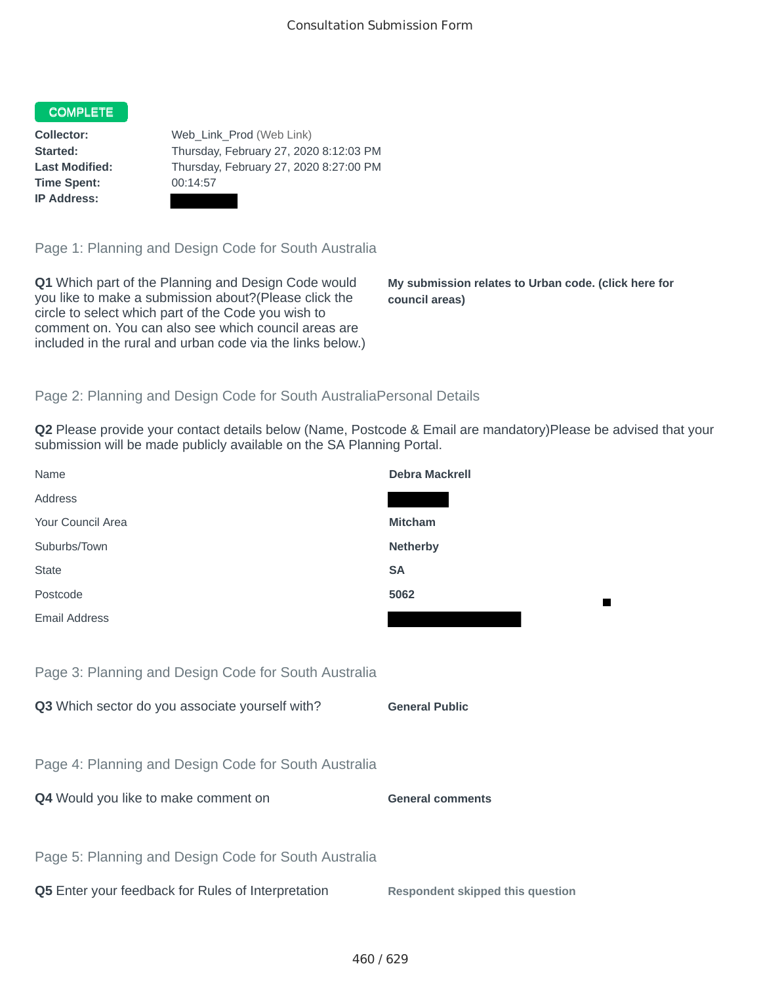## COMPLETE

**Time Spent:** 00:14:57 **IP Address:**

**Collector:** Web\_Link\_Prod (Web Link) **Started:** Thursday, February 27, 2020 8:12:03 PM **Last Modified:** Thursday, February 27, 2020 8:27:00 PM

Page 1: Planning and Design Code for South Australia

**Q1** Which part of the Planning and Design Code would you like to make a submission about?(Please click the circle to select which part of the Code you wish to comment on. You can also see which council areas are included in the rural and urban code via the links below.)

**My submission relates to Urban code. (click here for council areas)**

## Page 2: Planning and Design Code for South AustraliaPersonal Details

**Q2** Please provide your contact details below (Name, Postcode & Email are mandatory)Please be advised that your submission will be made publicly available on the SA Planning Portal.

| Name                                                 | <b>Debra Mackrell</b>                   |
|------------------------------------------------------|-----------------------------------------|
| Address                                              |                                         |
| Your Council Area                                    | <b>Mitcham</b>                          |
| Suburbs/Town                                         | <b>Netherby</b>                         |
| <b>State</b>                                         | <b>SA</b>                               |
| Postcode                                             | 5062                                    |
| <b>Email Address</b>                                 |                                         |
|                                                      |                                         |
| Page 3: Planning and Design Code for South Australia |                                         |
| Q3 Which sector do you associate yourself with?      | <b>General Public</b>                   |
|                                                      |                                         |
| Page 4: Planning and Design Code for South Australia |                                         |
| Q4 Would you like to make comment on                 | <b>General comments</b>                 |
|                                                      |                                         |
| Page 5: Planning and Design Code for South Australia |                                         |
| Q5 Enter your feedback for Rules of Interpretation   | <b>Respondent skipped this question</b> |
|                                                      |                                         |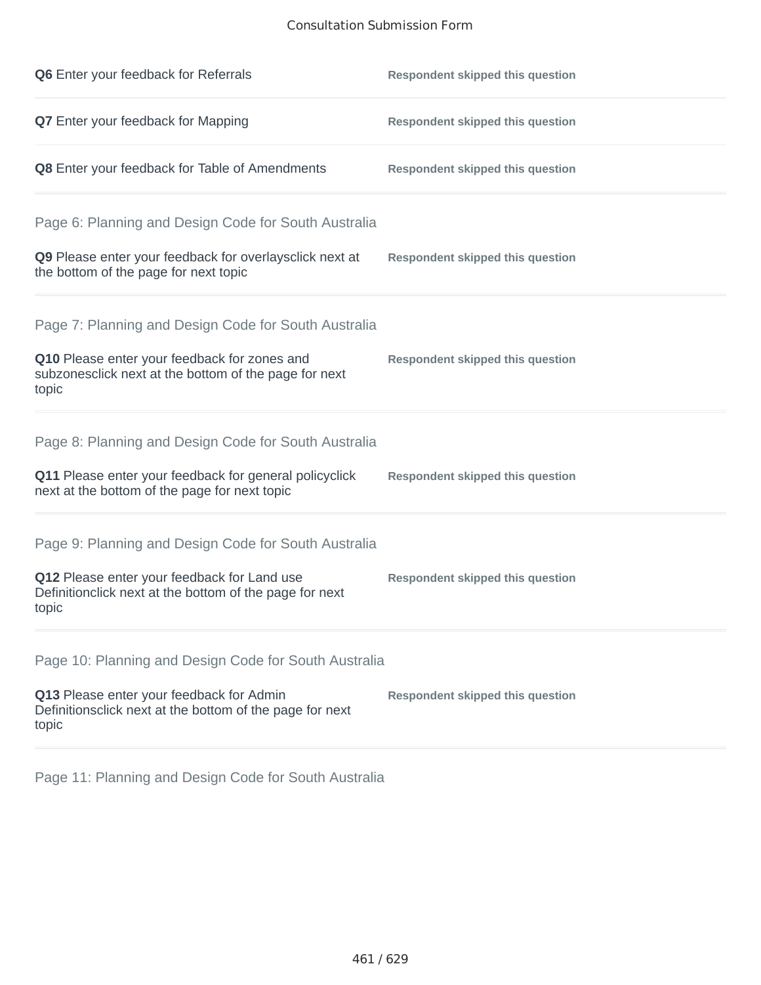## Consultation Submission Form

| Q6 Enter your feedback for Referrals                                                                            | <b>Respondent skipped this question</b> |
|-----------------------------------------------------------------------------------------------------------------|-----------------------------------------|
| Q7 Enter your feedback for Mapping                                                                              | <b>Respondent skipped this question</b> |
| Q8 Enter your feedback for Table of Amendments                                                                  | <b>Respondent skipped this question</b> |
| Page 6: Planning and Design Code for South Australia                                                            |                                         |
| Q9 Please enter your feedback for overlaysclick next at<br>the bottom of the page for next topic                | <b>Respondent skipped this question</b> |
| Page 7: Planning and Design Code for South Australia                                                            |                                         |
| Q10 Please enter your feedback for zones and<br>subzonesclick next at the bottom of the page for next<br>topic  | <b>Respondent skipped this question</b> |
| Page 8: Planning and Design Code for South Australia                                                            |                                         |
| Q11 Please enter your feedback for general policyclick<br>next at the bottom of the page for next topic         | <b>Respondent skipped this question</b> |
| Page 9: Planning and Design Code for South Australia                                                            |                                         |
| Q12 Please enter your feedback for Land use<br>Definitionclick next at the bottom of the page for next<br>topic | <b>Respondent skipped this question</b> |
| Page 10: Planning and Design Code for South Australia                                                           |                                         |
| Q13 Please enter your feedback for Admin<br>Definitionsclick next at the bottom of the page for next<br>topic   | <b>Respondent skipped this question</b> |

Page 11: Planning and Design Code for South Australia